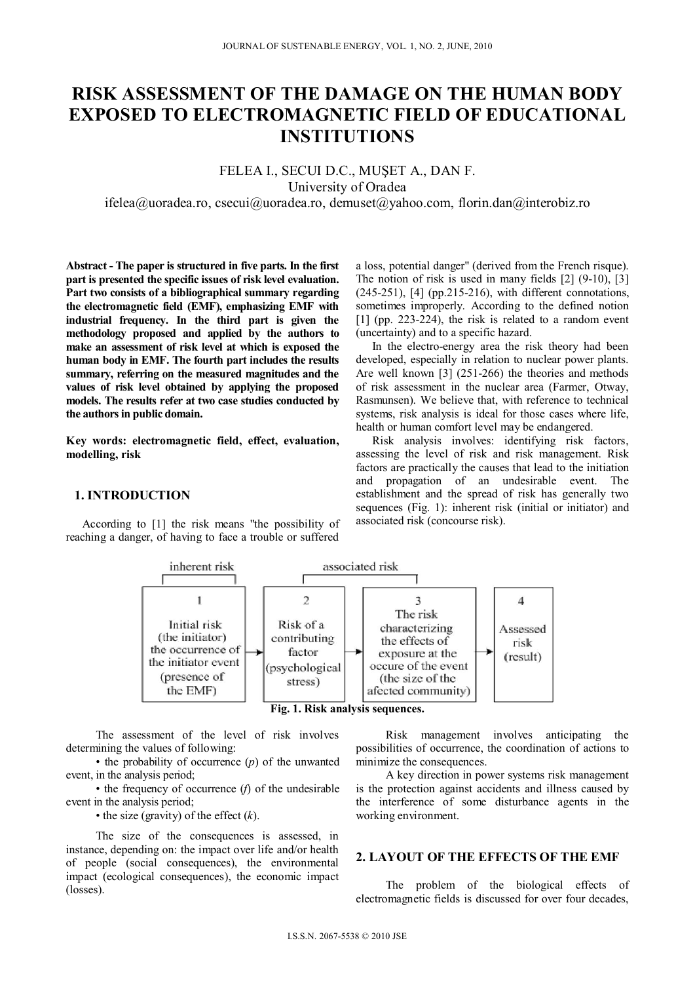# **RISK ASSESSMENT OF THE DAMAGE ON THE HUMAN BODY EXPOSED TO ELECTROMAGNETIC FIELD OF EDUCATIONAL INSTITUTIONS**

## FELEA I., SECUI D.C., MUŞET A., DAN F. University of Oradea

ifelea@uoradea.ro, csecui@uoradea.ro, demuset@yahoo.com, florin.dan@interobiz.ro

**Abstract - The paper is structured in five parts. In the first part is presented the specific issues of risk level evaluation. Part two consists of a bibliographical summary regarding the electromagnetic field (EMF), emphasizing EMF with industrial frequency. In the third part is given the methodology proposed and applied by the authors to make an assessment of risk level at which is exposed the human body in EMF. The fourth part includes the results summary, referring on the measured magnitudes and the values of risk level obtained by applying the proposed models. The results refer at two case studies conducted by the authors in public domain.** 

**Key words: electromagnetic field, effect, evaluation, modelling, risk** 

## **1. INTRODUCTION**

According to [1] the risk means "the possibility of reaching a danger, of having to face a trouble or suffered

a loss, potential danger" (derived from the French risque). The notion of risk is used in many fields [2] (9-10), [3] (245-251), [4] (pp.215-216), with different connotations, sometimes improperly. According to the defined notion [1] (pp. 223-224), the risk is related to a random event (uncertainty) and to a specific hazard.

In the electro-energy area the risk theory had been developed, especially in relation to nuclear power plants. Are well known [3] (251-266) the theories and methods of risk assessment in the nuclear area (Farmer, Otway, Rasmunsen). We believe that, with reference to technical systems, risk analysis is ideal for those cases where life, health or human comfort level may be endangered.

Risk analysis involves: identifying risk factors, assessing the level of risk and risk management. Risk factors are practically the causes that lead to the initiation and propagation of an undesirable event. The establishment and the spread of risk has generally two sequences (Fig. 1): inherent risk (initial or initiator) and associated risk (concourse risk).



The assessment of the level of risk involves determining the values of following:

• the probability of occurrence (*p*) of the unwanted event, in the analysis period;

• the frequency of occurrence (*f*) of the undesirable event in the analysis period;

• the size (gravity) of the effect (*k*).

The size of the consequences is assessed, in instance, depending on: the impact over life and/or health of people (social consequences), the environmental impact (ecological consequences), the economic impact (losses).

Risk management involves anticipating the possibilities of occurrence, the coordination of actions to minimize the consequences.

A key direction in power systems risk management is the protection against accidents and illness caused by the interference of some disturbance agents in the working environment.

## **2. LAYOUT OF THE EFFECTS OF THE EMF**

The problem of the biological effects of electromagnetic fields is discussed for over four decades,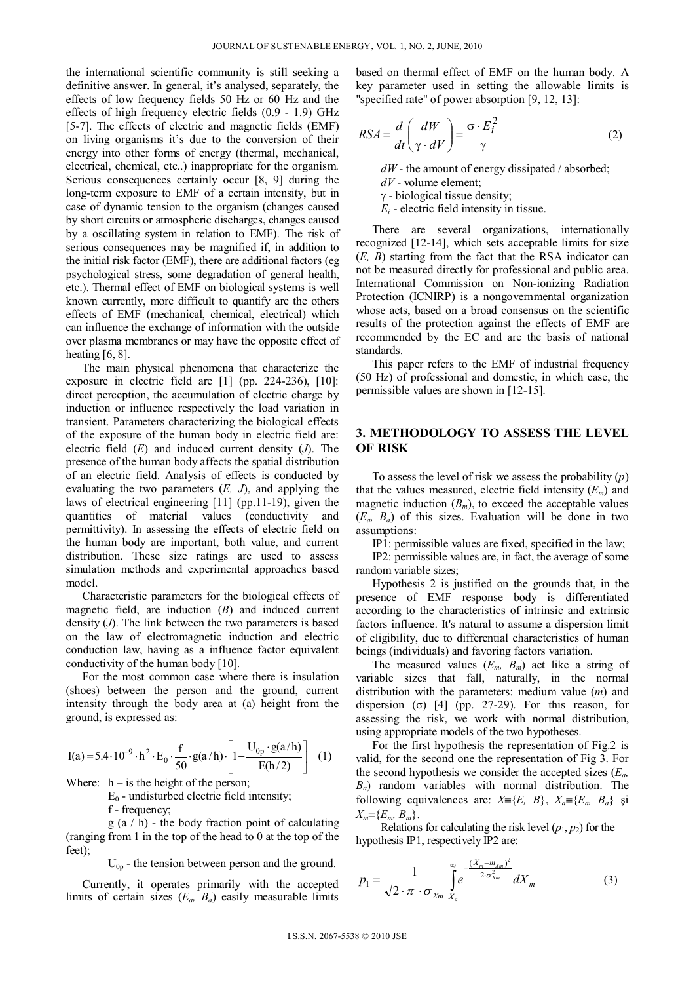the international scientific community is still seeking a definitive answer. In general, it's analysed, separately, the effects of low frequency fields 50 Hz or 60 Hz and the effects of high frequency electric fields (0.9 - 1.9) GHz [5-7]. The effects of electric and magnetic fields (EMF) on living organisms it's due to the conversion of their energy into other forms of energy (thermal, mechanical, electrical, chemical, etc..) inappropriate for the organism. Serious consequences certainly occur [8, 9] during the long-term exposure to EMF of a certain intensity, but in case of dynamic tension to the organism (changes caused by short circuits or atmospheric discharges, changes caused by a oscillating system in relation to EMF). The risk of serious consequences may be magnified if, in addition to the initial risk factor (EMF), there are additional factors (eg psychological stress, some degradation of general health, etc.). Thermal effect of EMF on biological systems is well known currently, more difficult to quantify are the others effects of EMF (mechanical, chemical, electrical) which can influence the exchange of information with the outside over plasma membranes or may have the opposite effect of heating [6, 8].

The main physical phenomena that characterize the exposure in electric field are [1] (pp. 224-236), [10]: direct perception, the accumulation of electric charge by induction or influence respectively the load variation in transient. Parameters characterizing the biological effects of the exposure of the human body in electric field are: electric field (*E*) and induced current density (*J*). The presence of the human body affects the spatial distribution of an electric field. Analysis of effects is conducted by evaluating the two parameters (*E, J*), and applying the laws of electrical engineering [11] (pp.11-19), given the quantities of material values (conductivity and permittivity). In assessing the effects of electric field on the human body are important, both value, and current distribution. These size ratings are used to assess simulation methods and experimental approaches based model.

Characteristic parameters for the biological effects of magnetic field, are induction (*B*) and induced current density (*J*). The link between the two parameters is based on the law of electromagnetic induction and electric conduction law, having as a influence factor equivalent conductivity of the human body [10].

For the most common case where there is insulation (shoes) between the person and the ground, current intensity through the body area at (a) height from the ground, is expressed as:

 )2/h(E )h/a(gU 1)h/a(g <sup>50</sup> <sup>f</sup> Eh104.5)a(I p0 0 29 (1)

Where:  $h - is$  the height of the person;

 $E_0$  - undisturbed electric field intensity;

f - frequency;

g (a / h) - the body fraction point of calculating (ranging from 1 in the top of the head to 0 at the top of the feet);

 $U_{0p}$  - the tension between person and the ground.

Currently, it operates primarily with the accepted limits of certain sizes  $(E_a, B_a)$  easily measurable limits based on thermal effect of EMF on the human body. A key parameter used in setting the allowable limits is "specified rate" of power absorption [9, 12, 13]:

$$
RSA = \frac{d}{dt} \left( \frac{dW}{\gamma \cdot dV} \right) = \frac{\sigma \cdot E_i^2}{\gamma}
$$
 (2)

 $dW$  - the amount of energy dissipated / absorbed;

*dV* - volume element;

γ - biological tissue density;

 $E_i$  - electric field intensity in tissue.

There are several organizations, internationally recognized [12-14], which sets acceptable limits for size (*E, B*) starting from the fact that the RSA indicator can not be measured directly for professional and public area. International Commission on Non-ionizing Radiation Protection (ICNIRP) is a nongovernmental organization whose acts, based on a broad consensus on the scientific results of the protection against the effects of EMF are recommended by the EC and are the basis of national standards.

This paper refers to the EMF of industrial frequency (50 Hz) of professional and domestic, in which case, the permissible values are shown in [12-15].

## **3. METHODOLOGY TO ASSESS THE LEVEL OF RISK**

To assess the level of risk we assess the probability (*p*) that the values measured, electric field intensity  $(E_m)$  and magnetic induction  $(B_m)$ , to exceed the acceptable values (*Ea, Ba*) of this sizes. Evaluation will be done in two assumptions:

IP1: permissible values are fixed, specified in the law;

IP2: permissible values are, in fact, the average of some random variable sizes;

Hypothesis 2 is justified on the grounds that, in the presence of EMF response body is differentiated according to the characteristics of intrinsic and extrinsic factors influence. It's natural to assume a dispersion limit of eligibility, due to differential characteristics of human beings (individuals) and favoring factors variation.

The measured values  $(E_m, B_m)$  act like a string of variable sizes that fall, naturally, in the normal distribution with the parameters: medium value (*m*) and dispersion (σ)  $[4]$  (pp. 27-29). For this reason, for assessing the risk, we work with normal distribution, using appropriate models of the two hypotheses.

For the first hypothesis the representation of Fig.2 is valid, for the second one the representation of Fig 3. For the second hypothesis we consider the accepted sizes (*Ea, Ba*) random variables with normal distribution. The following equivalences are:  $X = \{E, B\}$ ,  $X_a = \{E_a, B_a\}$  si  $X_m = \{E_m, B_m\}.$ 

Relations for calculating the risk level  $(p_1, p_2)$  for the hypothesis IP1, respectively IP2 are:

$$
p_1 = \frac{1}{\sqrt{2 \cdot \pi} \cdot \sigma_{Xm}} \int_{X_a}^{\infty} e^{-\frac{(X_m - m_{Xm})^2}{2 \cdot \sigma_{Xm}^2}} dX_m
$$
 (3)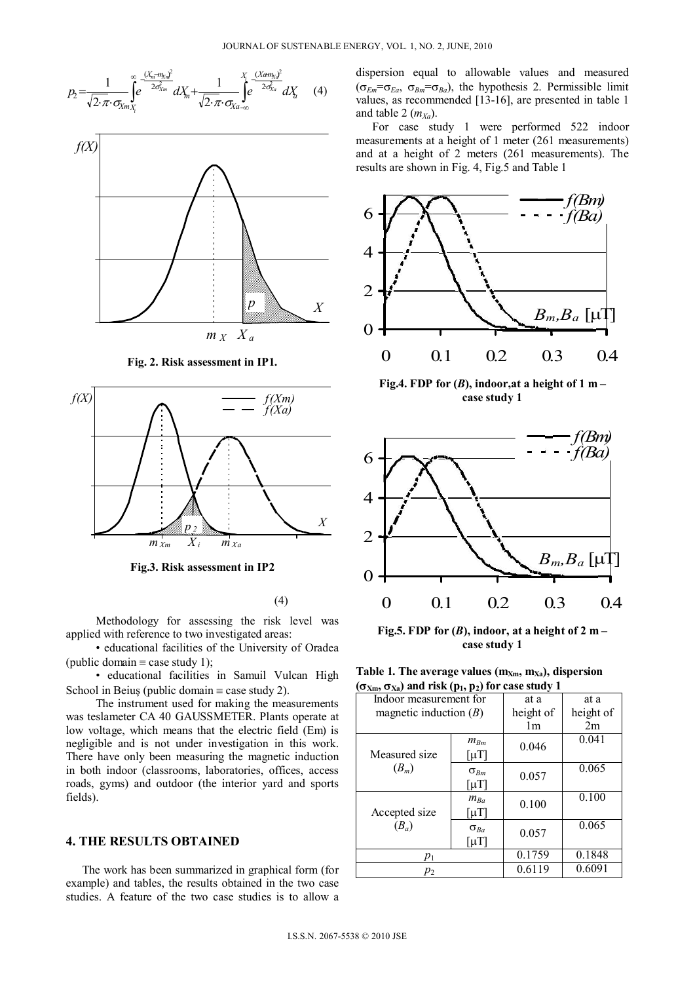$$
P_2 = \frac{1}{\sqrt{2 \cdot \pi} \cdot \sigma_{Xm_{X_i}}}\int_{e}^{\infty} e^{\frac{(X_m - m_{Xm})^2}{2\sigma_{Xm}^2}} dX_m + \frac{1}{\sqrt{2 \cdot \pi} \cdot \sigma_{Xa_{-\infty}}}\int_{e}^{\infty} e^{\frac{(Xam_{Xa})^2}{2\sigma_{Xa}^2}} dX_a \tag{4}
$$



**Fig. 2. Risk assessment in IP1.**



**Fig.3. Risk assessment in IP2**

#### (4)

Methodology for assessing the risk level was applied with reference to two investigated areas:

• educational facilities of the University of Oradea (public domain  $\equiv$  case study 1);

• educational facilities in Samuil Vulcan High School in Beiuş (public domain  $\equiv$  case study 2).

The instrument used for making the measurements was teslameter CA 40 GAUSSMETER. Plants operate at low voltage, which means that the electric field (Em) is negligible and is not under investigation in this work. There have only been measuring the magnetic induction in both indoor (classrooms, laboratories, offices, access roads, gyms) and outdoor (the interior yard and sports fields).

## **4. THE RESULTS OBTAINED**

The work has been summarized in graphical form (for example) and tables, the results obtained in the two case studies. A feature of the two case studies is to allow a dispersion equal to allowable values and measured  $(\sigma_{Em} = \sigma_{Ea}, \sigma_{Bm} = \sigma_{Ba})$ , the hypothesis 2. Permissible limit values, as recommended [13-16], are presented in table 1 and table 2  $(m_{Xa})$ .

For case study 1 were performed 522 indoor measurements at a height of 1 meter (261 measurements) and at a height of 2 meters (261 measurements). The results are shown in Fig. 4, Fig.5 and Table 1



Fig.4. FDP for  $(B)$ , indoor, at a height of 1 m – **case study 1**



Fig.5. FDP for  $(B)$ , indoor, at a height of 2 m – **case study 1**

Table 1. The average values  $(m<sub>Xm</sub>, m<sub>Xa</sub>)$ , dispersion

| $(\sigma_{Xm}, \sigma_{Xa})$ and risk (p <sub>1</sub> , p <sub>2</sub> ) for case study 1 |                              |           |           |  |  |  |
|-------------------------------------------------------------------------------------------|------------------------------|-----------|-----------|--|--|--|
| Indoor measurement for                                                                    |                              | at a      | at a      |  |  |  |
| magnetic induction $(B)$                                                                  |                              | height of | height of |  |  |  |
|                                                                                           | 1m                           | 2m        |           |  |  |  |
| Measured size<br>$(B_m)$                                                                  | $m_{Bm}$                     | 0.046     | 0.041     |  |  |  |
|                                                                                           | $\lceil \mu T \rceil$        |           |           |  |  |  |
|                                                                                           | $\sigma_{Bm}$                | 0.057     | 0.065     |  |  |  |
|                                                                                           | $\lceil \mu \text{T} \rceil$ |           |           |  |  |  |
| Accepted size<br>$(B_a)$                                                                  | $m_{Ba}$                     | 0.100     | 0.100     |  |  |  |
|                                                                                           | $\lceil \mu T \rceil$        |           |           |  |  |  |
|                                                                                           | $\sigma_{Ba}$                | 0.057     | 0.065     |  |  |  |
|                                                                                           | $\lceil \mu \text{T} \rceil$ |           |           |  |  |  |
| $p_1$                                                                                     |                              | 0.1759    | 0.1848    |  |  |  |
| $p_2$                                                                                     |                              | 0.6119    | 0.6091    |  |  |  |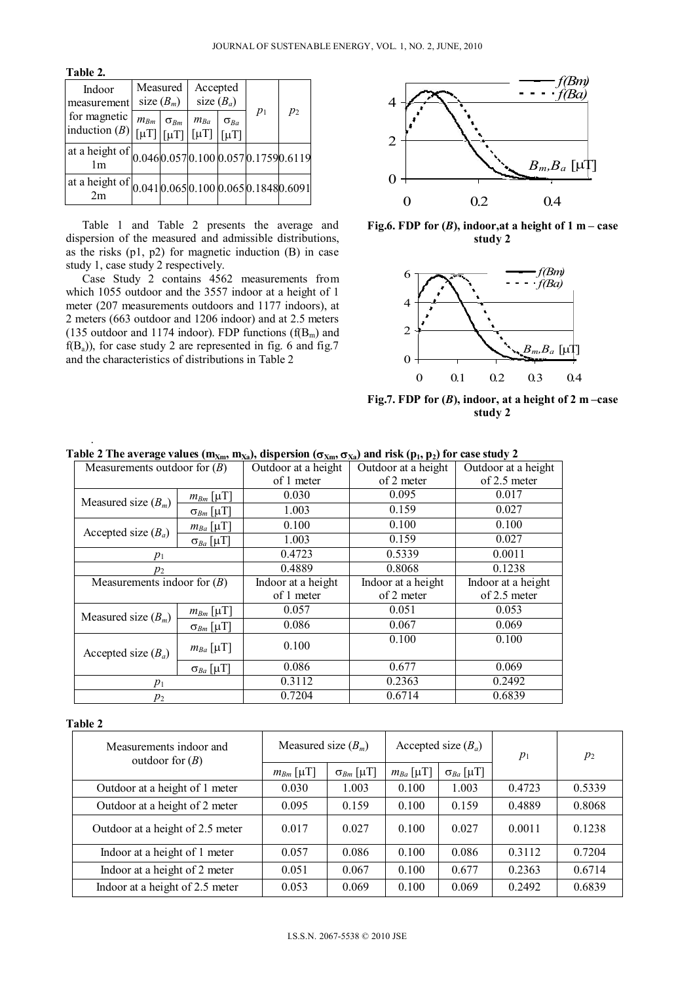**Table 2.** 

| Indoor<br>measurement                                                        | Measured<br>size $(B_m)$ |               | Accepted<br>size $(B_a)$ |                                                                 |       |       |
|------------------------------------------------------------------------------|--------------------------|---------------|--------------------------|-----------------------------------------------------------------|-------|-------|
| for magnetic<br>induction $(B)$ [ $\mu$ T] $\left  \mu$ T]                   | $m_{Bm}$                 | $\sigma_{Bm}$ | $m_{Ba}$                 | $\sigma_{Ba}$<br>$\lceil \mu T \rceil \mid \lceil \mu T \rceil$ | $p_1$ | $p_2$ |
| at a height of $\frac{1}{1 \text{ m}}$ 0.046 0.057 0.100 0.057 0.1759 0.6119 |                          |               |                          |                                                                 |       |       |
| at a height of $ 0.041 0.065 0.100 0.065 0.1848 0.6091 $                     |                          |               |                          |                                                                 |       |       |

Table 1 and Table 2 presents the average and dispersion of the measured and admissible distributions, as the risks  $(p1, p2)$  for magnetic induction  $(B)$  in case study 1, case study 2 respectively.

Case Study 2 contains 4562 measurements from which 1055 outdoor and the 3557 indoor at a height of 1 meter (207 measurements outdoors and 1177 indoors), at 2 meters (663 outdoor and 1206 indoor) and at 2.5 meters (135 outdoor and 1174 indoor). FDP functions  $(f(B_m)$  and  $f(B_a)$ , for case study 2 are represented in fig. 6 and fig. 7 and the characteristics of distributions in Table 2



**Fig.6. FDP for (***B***), indoor,at a height of 1 m – case study 2**



**Fig.7. FDP for (***B***), indoor, at a height of 2 m –case study 2**

| Measurements outdoor for $(B)$ |                    | Outdoor at a height | Outdoor at a height | Outdoor at a height |  |
|--------------------------------|--------------------|---------------------|---------------------|---------------------|--|
|                                |                    | of 1 meter          | of 2 meter          | of 2.5 meter        |  |
| Measured size $(B_m)$          | $m_{Bm}$ [µT]      | 0.030               | 0.095               | 0.017               |  |
|                                | $\sigma_{Bm}$ [µT] | 1.003               | 0.159               | 0.027               |  |
| Accepted size $(B_a)$          | $m_{Ba}$ [µT]      | 0.100               | 0.100               | 0.100               |  |
|                                | $\sigma_{Ba}$ [µT] | 1.003               | 0.159               | 0.027               |  |
| $p_1$                          |                    | 0.4723              | 0.5339              | 0.0011              |  |
| $p_2$                          |                    | 0.4889              | 0.8068              | 0.1238              |  |
| Measurements indoor for $(B)$  |                    | Indoor at a height  | Indoor at a height  | Indoor at a height  |  |
|                                |                    | of 1 meter          | of 2 meter          | of 2.5 meter        |  |
| Measured size $(B_m)$          | $m_{Bm}$ [µT]      | 0.057               | 0.051               | 0.053               |  |
|                                | $\sigma_{Bm}$ [µT] | 0.086               | 0.067               | 0.069               |  |
| Accepted size $(B_a)$          | $m_{Ba}$ [µT]      | 0.100               | 0.100               | 0.100               |  |
|                                | $\sigma_{Ba}$ [µT] | 0.086               | 0.677               | 0.069               |  |
| $p_1$                          |                    | 0.3112              | 0.2363              | 0.2492              |  |
| $p_2$                          |                    | 0.7204              | 0.6714              | 0.6839              |  |

Table 2 The average values  $(m_{Xm}, m_{Xa})$ , dispersion  $(\sigma_{Xm}, \sigma_{Xa})$  and risk  $(p_1, p_2)$  for case study 2

#### **Table 2**

.

| Measurements indoor and<br>outdoor for $(B)$ | Measured size $(B_m)$ |                    | Accepted size $(B_a)$ |                    | $p_1$  | $p_2$  |
|----------------------------------------------|-----------------------|--------------------|-----------------------|--------------------|--------|--------|
|                                              | $m_{Bm}$ [µT]         | $\sigma_{Bm}$ [µT] | $m_{Ba}$ [µT]         | $\sigma_{Ba}$ [µT] |        |        |
| Outdoor at a height of 1 meter               | 0.030                 | 1.003              | 0.100                 | 1.003              | 0.4723 | 0.5339 |
| Outdoor at a height of 2 meter               | 0.095                 | 0.159              | 0.100                 | 0.159              | 0.4889 | 0.8068 |
| Outdoor at a height of 2.5 meter             | 0.017                 | 0.027              | 0.100                 | 0.027              | 0.0011 | 0.1238 |
| Indoor at a height of 1 meter                | 0.057                 | 0.086              | 0.100                 | 0.086              | 0.3112 | 0.7204 |
| Indoor at a height of 2 meter                | 0.051                 | 0.067              | 0.100                 | 0.677              | 0.2363 | 0.6714 |
| Indoor at a height of 2.5 meter              | 0.053                 | 0.069              | 0.100                 | 0.069              | 0.2492 | 0.6839 |